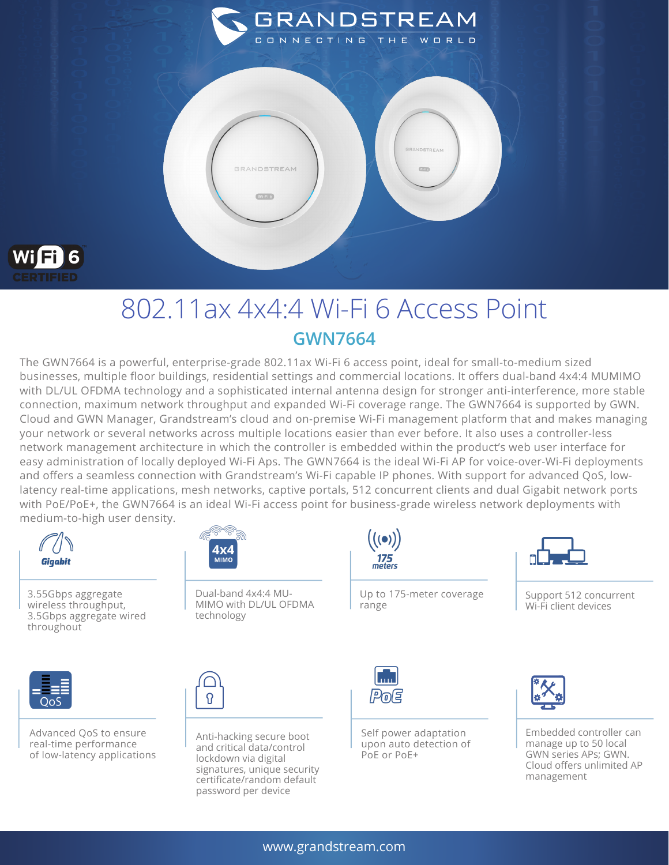



## 802.11ax 4x4:4 Wi-Fi 6 Access Point **GWN7664**

The GWN7664 is a powerful, enterprise-grade 802.11ax Wi-Fi 6 access point, ideal for small-to-medium sized businesses, multiple floor buildings, residential settings and commercial locations. It offers dual-band 4x4:4 MUMIMO with DL/UL OFDMA technology and a sophisticated internal antenna design for stronger anti-interference, more stable connection, maximum network throughput and expanded Wi-Fi coverage range. The GWN7664 is supported by GWN. Cloud and GWN Manager, Grandstream's cloud and on-premise Wi-Fi management platform that and makes managing your network or several networks across multiple locations easier than ever before. It also uses a controller-less network management architecture in which the controller is embedded within the product's web user interface for easy administration of locally deployed Wi-Fi Aps. The GWN7664 is the ideal Wi-Fi AP for voice-over-Wi-Fi deployments and offers a seamless connection with Grandstream's Wi-Fi capable IP phones. With support for advanced QoS, lowlatency real-time applications, mesh networks, captive portals, 512 concurrent clients and dual Gigabit network ports with PoE/PoE+, the GWN7664 is an ideal Wi-Fi access point for business-grade wireless network deployments with medium-to-high user density.



3.55Gbps aggregate wireless throughput, 3.5Gbps aggregate wired throughout



Dual-band 4x4:4 MU-MIMO with DL/UL OFDMA technology



range



Support 512 concurrent Wi-Fi client devices



Advanced QoS to ensure real-time performance of low-latency applications



Anti-hacking secure boot and critical data/control lockdown via digital signatures, unique security certificate/random default password per device



Self power adaptation upon auto detection of PoE or PoE+

Up to 175-meter coverage



Embedded controller can manage up to 50 local GWN series APs; GWN. Cloud offers unlimited AP management